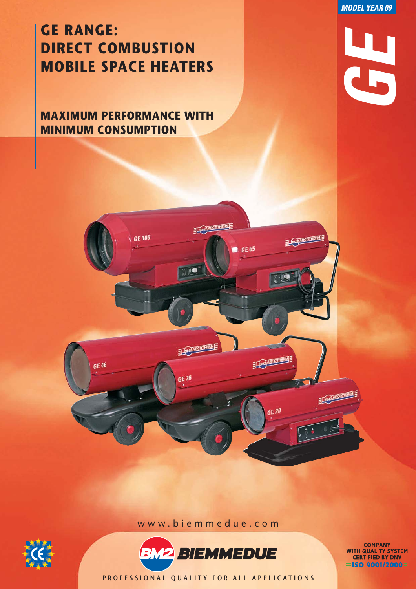*MODEL YEAR 09*

*GE*

# **GE RANGE: DIRECT COMBUSTION MOBILE SPACE HEATERS**

**MAXIMUM PERFORMANCE WITH MINIMUM CONSUMPTION**

 $\sqrt{GE 105}$ 

GE 46



ECONOMIC ME

**Q** is

ELOPARCOTHERNE

GE 36

 $GE 65$ 

ECONOMIC

GE 20

EL CONSCOTHERING

ECONOMIC



**COMPANY<br>WITH QUALITY SYSTEM<br>CERTIFIED BY DNV**  $=$ ISO 9001/2000=

**PROFESSIONAL QUALITY FOR ALL APPLICATIONS**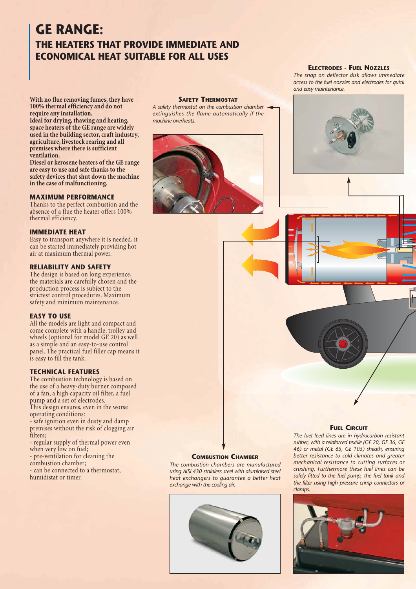# **GE RANGE: THE HEATERS THAT PROVIDE IMMEDIATE AND ECONOMICAL HEAT SUITABLE FOR ALL USES**

**With no flue removing fumes, they have 100% thermal efficiency and do not require any installation.**

**Ideal for drying, thawing and heating, space heaters of the GE range are widely used in the building sector, craft industry, agriculture, livestock rearing and all premises where there is sufficient ventilation.**

**Diesel or kerosene heaters of the GE range are easy to use and safe thanks to the safety devices that shut down the machine in the case of malfunctioning.**

#### **MAXIMUM PERFORMANCE**

Thanks to the perfect combustion and the absence of a flue the heater offers 100% thermal efficiency.

#### **IMMEDIATE HEAT**

Easy to transport anywhere it is needed, it can be started immediately providing hot air at maximum thermal power.

#### **RELIABILITY AND SAFETY**

The design is based on long experience, the materials are carefully chosen and the production process is subject to the strictest control procedures. Maximum safety and minimum maintenance.

#### **EASY TO USE**

All the models are light and compact and come complete with a handle, trolley and wheels (optional for model GE 20) as well as a simple and an easy-to-use control panel. The practical fuel filler cap means it is easy to fill the tank.

#### **TECHNICAL FEATURES**

The combustion technology is based on the use of a heavy-duty burner composed of a fan, a high capacity oil filter, a fuel pump and a set of electrodes. This design ensures, even in the worse operating conditions: - safe ignition even in dusty and damp

premises without the risk of clogging air filters;

- regular supply of thermal power even when very low on fuel;

- pre-ventilation for cleaning the combustion chamber;

- can be connected to a thermostat,

humidistat or timer.

#### **SAFETY THERMOSTAT**

*A safety thermostat on the combustion chamber extinguishes the flame automatically if the machine overheats.*



# **ELECTRODES - FUEL NOZZLES**

*The snap on deflector disk allows immediate access to the fuel nozzles and electrodes for quick and easy maintenance.*



#### **FUEL CIRCUIT**

*The fuel feed lines are in hydrocarbon resistant rubber, with a reinforced textile (GE 20, GE 36, GE 46) or metal (GE 65, GE 105) sheath, ensuring better resistance to cold climates and greater mechanical resistance to cutting surfaces or crushing. Furthermore these fuel lines can be safely fitted to the fuel pump, the fuel tank and the filter using high pressure crimp connectors or clamps.*



#### **COMBUSTION CHAMBER**

*The combustion chambers are manufactured using AISI 430 stainless steel with aluminised steel heat exchangers to guarantee a better heat exchange with the cooling air.*

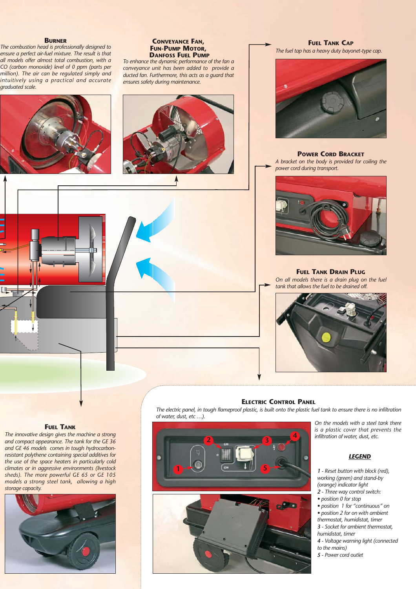#### **BURNER**

*The combustion head is professionally designed to ensure a perfect air-fuel mixture. The result is that all models offer almost total combustion, with a CO (carbon monoxide) level of 0 ppm (parts per million). The air can be regulated simply and intuitively using a practical and accurate graduated scale.*



#### **CONVEYANCE FAN, FUN-PUMP MOTOR, DANFOSS FUEL PUMP**

*To enhance the dynamic performance of the fan a conveyance unit has been added to provide a ducted fan. Furthermore, this acts as a guard that ensures safety during maintenance.*



**FUEL TANK CAP** *The fuel tap has a heavy duty bayonet-type cap.*



**POWER CORD BRACKET**

*A bracket on the body is provided for coiling the power cord during transport.*



**FUEL TANK DRAIN PLUG**

*On all models there is a drain plug on the fuel tank that allows the fuel to be drained off.*



#### **ELECTRIC CONTROL PANEL**

*The electric panel, in tough flameproof plastic, is built onto the plastic fuel tank to ensure there is no infiltration of water, dust, etc …).*

#### **FUEL TANK**

*The innovative design gives the machine a strong and compact appearance. The tank for the GE 36 and GE 46 models comes in tough hydrocarbonresistant polythene containing special additives for the use of the space heaters in particularly cold climates or in aggressive environments (livestock sheds). The more powerful GE 65 or GE 105 models a strong steel tank, allowing a high storage capacity.*







*On the models with a steel tank there is a plastic cover that prevents the infiltration of water, dust, etc.*

### *LEGEND*

*1 - Reset button with block (red), working (green) and stand-by (orange) indicator light 2 - Three way control switch:*

- *position 0 for stop*
- *position 1 for "continuous" on*
- *position 2 for on with ambient thermostat, humidistat, timer 3 - Socket for ambient thermostat,*

*humidistat, timer 4 - Voltage warning light (connected*

- *to the mains)*
- *5 Power cord outlet*